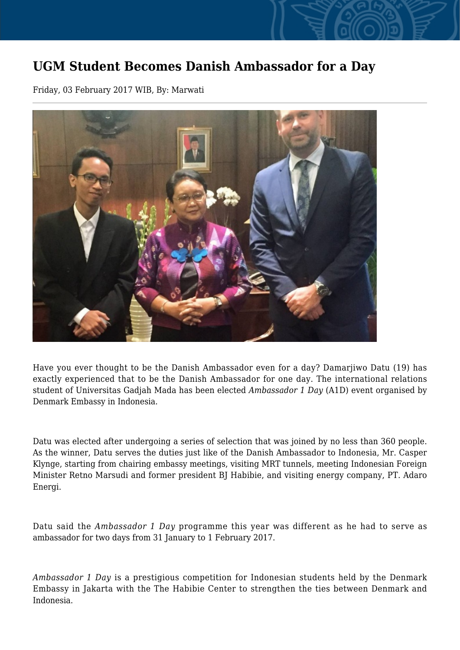## **UGM Student Becomes Danish Ambassador for a Day**

Friday, 03 February 2017 WIB, By: Marwati



Have you ever thought to be the Danish Ambassador even for a day? Damarjiwo Datu (19) has exactly experienced that to be the Danish Ambassador for one day. The international relations student of Universitas Gadjah Mada has been elected *Ambassador 1 Day* (A1D) event organised by Denmark Embassy in Indonesia.

Datu was elected after undergoing a series of selection that was joined by no less than 360 people. As the winner, Datu serves the duties just like of the Danish Ambassador to Indonesia, Mr. Casper Klynge, starting from chairing embassy meetings, visiting MRT tunnels, meeting Indonesian Foreign Minister Retno Marsudi and former president BJ Habibie, and visiting energy company, PT. Adaro Energi.

Datu said the *Ambassador 1 Day* programme this year was different as he had to serve as ambassador for two days from 31 January to 1 February 2017.

*Ambassador 1 Day* is a prestigious competition for Indonesian students held by the Denmark Embassy in Jakarta with the The Habibie Center to strengthen the ties between Denmark and Indonesia.